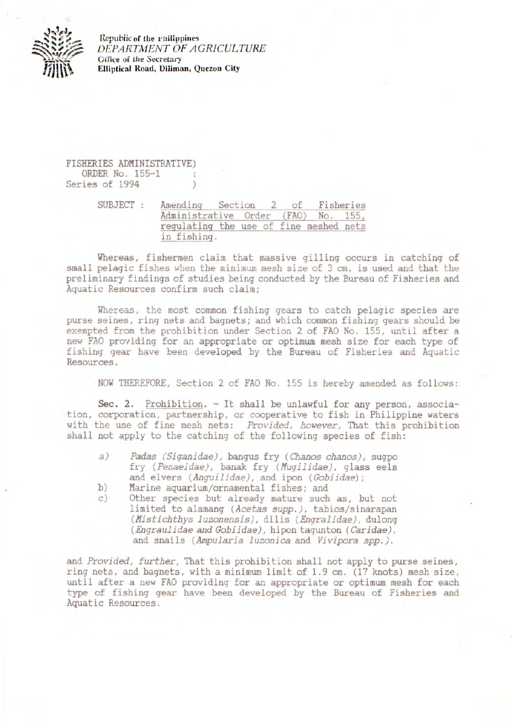

**Republic of the i'hilippines**  *DEPARTMENT OF A GRICUL TURE*  Office *of* the **Secretary Elliptical Road, Diliman, Quezon City** 

FISHERIES ADMINISTRATIVE) ORDER No. 155-1 Series of 1994

> SUBJECT : Amending Section 2 of Fisheries Administrative Order (FAO) No. 155, regulating the use of fine meshed nets in fishing.

Whereas, fishermen claim that massive gilling occurs in catching of small pelagic fishes when the minimum mesh size of 3 cm. is used and that the preliminary findings of studies being conducted by the Bureau of Fisheries and Aquatic Resources confirm such claim;

Whereas, the most common fishing gears to catch pelagic species are purse seines, ring nets and bagnets; and which common fishing gears should be exempted from the prohibition under Section 2 of FAQ No. 155, until after a new FAO providing for an appropriate or optimum mesh size for each type of fishing gear have been developed by the Bureau of Fisheries and Aquatic Resources.

NOW THEREFORE, Section 2 of FAQ No. 155 is hereby amended as follows:

Sec. 2. Prohibition. - It shall be unlawful for any person, association, corporation, partnership, or cooperative to fish in Philippine waters with the use of fine mesh nets: Provided, however, That this prohibition shall not apply to the catching of the following species of fish:

- a) Padas (Siganidae), bangus fry (Chanos chanos), sugpo fry (Penaeidae), banak fry (Muqilidae), glass eels and elvers (Anguilidae), and ipon (Gobiidae);
- b) Marine aquarium/ornamental fishes; and<br>c) Other species but already mature such
- Other species but already mature such as, but not limited to alamang (Acetas supp.), tabios/sinarapan (Mistichthys luzonensis), dilis (Enqralidae), dulong (Engraulidae and Gobiidae), hipon tagunton (Caridae), and snails (Ampularia luzonica and Vivipora spp.).

and Provided, further, That this prohibition shall not apply to purse seines, ring nets, and bagnets, with a minimum limit of 1.9 cm. (17 knots) mesh size, until after a new FAQ providing for an appropriate or optimum mesh for each type of fishing gear have been developed by the Bureau of Fisheries and Aquatic Resources.